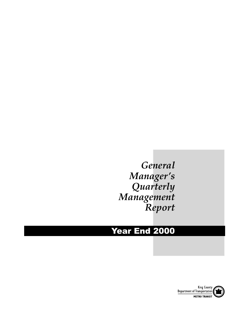# *General Manager's Quarterly Management Report*

# Year End 2000

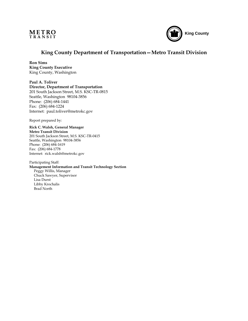



## **King County Department of Transportation—Metro Transit Division**

**Ron Sims King County Executive** King County, Washington

**Paul A. Toliver Director, Department of Transportation** 201 South Jackson Street, M.S. KSC-TR-0815 Seattle, Washington 98104-3856 Phone: (206) 684-1441 Fax: (206) 684-1224 Internet: paul.toliver@metrokc.gov

Report prepared by:

**Rick C. Walsh, General Manager Metro Transit Division** 201 South Jackson Street, M.S. KSC-TR-0415 Seattle, Washington 98104-3856 Phone: (206) 684-1619 Fax: (206) 684-1778 Internet: rick.walsh@metrokc.gov

Participating Staff: **Management Information and Transit Technology Section** Peggy Willis, Manager Chuck Sawyer, Supervisor Lisa Durst Libby Krochalis Brad North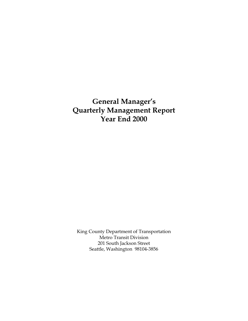**General Manager's Quarterly Management Report Year End 2000**

King County Department of Transportation Metro Transit Division 201 South Jackson Street Seattle, Washington 98104-3856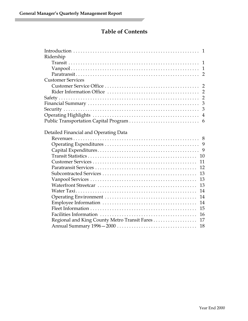П

## **Table of Contents**

| Ridership                                          |
|----------------------------------------------------|
|                                                    |
|                                                    |
|                                                    |
| <b>Customer Services</b>                           |
|                                                    |
|                                                    |
| $\overline{2}$                                     |
| 3                                                  |
| 3                                                  |
|                                                    |
| 6                                                  |
|                                                    |
| Detailed Financial and Operating Data              |
|                                                    |
|                                                    |
|                                                    |
| 10                                                 |
| 11                                                 |
| 12                                                 |
| 13                                                 |
| 13                                                 |
| 13                                                 |
| 14                                                 |
| 14                                                 |
| 14                                                 |
| 15                                                 |
| 16                                                 |
| Regional and King County Metro Transit Fares<br>17 |
| 18                                                 |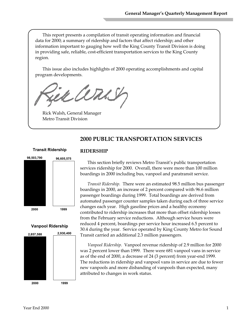This report presents a compilation of transit operating information and financial data for 2000; a summary of ridership and factors that affect ridership; and other information important to gauging how well the King County Transit Division is doing in providing safe, reliable, cost-efficient transportation services to the King County region.

This issue also includes highlights of 2000 operating accomplishments and capital program developments.

jek arns

Rick Walsh, General Manager Metro Transit Division

## **2000 PUBLIC TRANSPORTATION SERVICES**



#### **Vanpool Ridership**



#### **RIDERSHIP**

This section briefly reviews Metro Transit's public transportation services ridership for 2000. Overall, there were more than 100 million boardings in 2000 including bus, vanpool and paratransit service.

*Transit Ridership.* There were an estimated 98.5 million bus passenger boardings in 2000, an increase of 2 percent compared with 96.6 million passenger boardings during 1999. Total boardings are derived from automated passenger counter samples taken during each of three service changes each year. High gasoline prices and a healthy economy contributed to ridership increases that more than offset ridership losses from the February service reductions. Although service hours were reduced 4 percent, boardings per service hour increased 6.5 percent to 30.4 during the year. Service operated by King County Metro for Sound Transit carried an additional 2.3 million passengers.

*Vanpool Ridership.* Vanpool revenue ridership of 2.9 million for 2000 was 2 percent lower than 1999. There were 681 vanpool vans in service as of the end of 2000, a decrease of 24 (3 percent) from year-end 1999. The reductions in ridership and vanpool vans in service are due to fewer new vanpools and more disbanding of vanpools than expected, many attributed to changes in work status.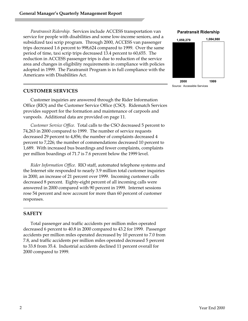*Paratransit Ridership.* Services include ACCESS transportation van service for people with disabilities and some low-income seniors, and a subsidized taxi scrip program. Through 2000, ACCESS van passenger trips decreased 1.6 percent to 998,624 compared to 1999. Over the same period of time, taxi scrip trips decreased 13.4 percent to 60,655. The reduction in ACCESS passenger trips is due to reduction of the service area and changes in eligibility requirements in compliance with policies adopted in 1999. The Paratransit Program is in full compliance with the Americans with Disabilities Act.

#### **CUSTOMER SERVICES**

Customer inquiries are answered through the Rider Information Office (RIO) and the Customer Service Office (CSO). Ridematch Services provides support for the formation and maintenance of carpools and vanpools. Additional data are provided on page 11.

*Customer Service Office.* Total calls to the CSO decreased 5 percent to 74,263 in 2000 compared to 1999. The number of service requests decreased 29 percent to 4,856; the number of complaints decreased 4 percent to 7,226; the number of commendations decreased 10 percent to 1,689. With increased bus boardings and fewer complaints, complaints per million boardings of 71.7 is 7.6 percent below the 1999 level.

*Rider Information Office.* RIO staff, automated telephone systems and the Internet site responded to nearly 3.9 million total customer inquiries in 2000, an increase of 21 percent over 1999. Incoming customer calls decreased 8 percent. Eighty-eight percent of all incoming calls were answered in 2000 compared with 90 percent in 1999. Internet sessions rose 54 percent and now account for more than 60 percent of customer responses.

#### **SAFETY**

Total passenger and traffic accidents per million miles operated decreased 6 percent to 40.8 in 2000 compared to 43.2 for 1999. Passenger accidents per million miles operated decreased by 10 percent to 7.0 from 7.8, and traffic accidents per million miles operated decreased 5 percent to 33.8 from 35.4. Industrial accidents declined 11 percent overall for 2000 compared to 1999.

#### **Paratransit Ridership**

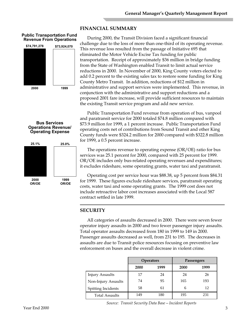## **FINANCIAL SUMMARY**

#### **Public Transportation Fund Revenue From Operations**



**Bus Services Operations Revenue/ Operating Expense**

**25.1% 25.0%**

During 2000, the Transit Division faced a significant financial challenge due to the loss of more than one-third of its operating revenue. This revenue loss resulted from the passage of Initiative 695 that eliminated the Motor Vehicle Excise Tax funding for public transportation. Receipt of approximately \$36 million in bridge funding from the State of Washington enabled Transit to limit actual service reductions in 2000. In November of 2000, King County voters elected to add 0.2 percent to the existing sales tax to restore some funding for King County Metro Transit. In addition, reductions of \$12 million in administrative and support services were implemented. This revenue, in conjunction with the administrative and support reductions and a proposed 2001 fare increase, will provide sufficient resources to maintain the existing Transit service program and add new service.

Public Transportation Fund revenue from operation of bus, vanpool and paratransit service for 2000 totaled \$74.8 million compared with \$73.9 million for 1999, a 1 percent increase. Public Transportation Fund operating costs net of contributions from Sound Transit and other King County funds were \$324.2 million for 2000 compared with \$322.8 million for 1999, a 0.5 percent increase.

The operations revenue to operating expense (OR/OE) ratio for bus services was 25.1 percent for 2000, compared with 25 percent for 1999. OR/OE includes only bus-related operating revenues and expenditures; it excludes rideshare, some operating grants, water taxi and paratransit.

Operating cost per service hour was \$88.38, up 5 percent from \$84.31 for 1999. These figures exclude rideshare services, paratransit operating costs, water taxi and some operating grants. The 1999 cost does not include retroactive labor cost increases associated with the Local 587 contract settled in late 1999.

## **SECURITY**

All categories of assaults decreased in 2000. There were seven fewer operator injury assaults in 2000 and two fewer passenger injury assaults. Total operator assaults decreased from 180 in 1999 to 149 in 2000. Passenger assaults decreased as well, from 231 to 195. The decreases in assaults are due to Transit police resources focusing on preventive law enforcement on buses and the overall decrease in violent crime.

|                        |      | <b>Operators</b> |      | Passengers |
|------------------------|------|------------------|------|------------|
|                        | 2000 | 1999             | 2000 | 1999       |
| <b>Injury Assaults</b> | 17   | 24               | 24   | 26         |
| Non-Injury Assaults    | 74   | 95               | 165  | 193        |
| Spitting Incidents     | 58   | 61               | 6    | 12         |
| <b>Total Assaults</b>  | 149  | 180              | 195  | 231        |

**1999 OR/OE**

**2000 OR/OE**

Year End 2000

*Source: Transit Security Data Base—Incident Reports*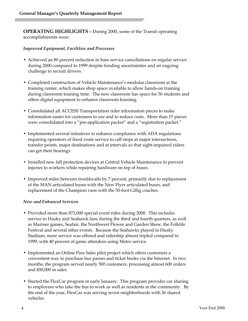**OPERATING HIGHLIGHTS**—During 2000, some of the Transit operating accomplishments were:

#### *Improved Equipment, Facilities and Processes*

- Achieved an 80 percent reduction in base service cancellations on regular service during 2000 compared to 1999 despite funding uncertainties and an ongoing challenge to recruit drivers.
- Completed construction of Vehicle Maintenance's modular classroom at the training center, which makes shop space available to allow hands-on training during classroom training time. The new classroom has space for 36 students and offers digital equipment to enhance classroom learning.
- Consolidated all ACCESS Transportation rider information pieces to make information easier for customers to use and to reduce costs. More than 15 pieces were consolidated into a "pre-application packet" and a "registration packet."
- Implemented several initiatives to enhance compliance with ADA regulations requiring operators of fixed route service to call stops at major intersections, transfer points, major destinations and at intervals so that sight-impaired riders can get their bearings.
- Installed new fall protection devices at Central Vehicle Maintenance to prevent injuries to workers while repairing hardware on top of buses.
- Improved miles between troublecalls by 7 percent, primarily due to replacement of the MAN articulated buses with the New Flyer articulated buses, and replacement of the Champion vans with the 30-foot Gillig coaches.

#### *New and Enhanced Services*

- Provided more than 871,000 special event rides during 2000. This includes service to Husky and Seahawk fans during the third and fourth quarters, as well as Mariner games, Seafair, the Northwest Flower and Garden Show, the Folklife Festival and several other events. Because the Seahawks played in Husky Stadium, more service was offered and ridership almost tripled compared to 1999, with 40 percent of game attendees using Metro service.
- Implemented an Online Pass Sales pilot project which offers customers a convenient way to purchase bus passes and ticket books via the Internet. In two months, the program served nearly 500 customers, processing almost 600 orders and \$50,000 in sales.
- Started the FlexCar program in early January. This program provides car sharing to employees who take the bus to work as well as residents in the community. By the end of the year, FlexCar was serving seven neighborhoods with 26 shared vehicles.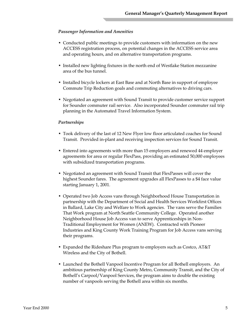#### *Passenger Information and Amenities*

- Conducted public meetings to provide customers with information on the new ACCESS registration process, on potential changes in the ACCESS service area and operating hours, and on alternative transportation programs.
- Installed new lighting fixtures in the north end of Westlake Station mezzanine area of the bus tunnel.
- Installed bicycle lockers at East Base and at North Base in support of employee Commute Trip Reduction goals and commuting alternatives to driving cars.
- Negotiated an agreement with Sound Transit to provide customer service support for Sounder commuter rail service. Also incorporated Sounder commuter rail trip planning in the Automated Travel Information System.

#### *Partnerships*

- Took delivery of the last of 12 New Flyer low floor articulated coaches for Sound Transit. Provided in-plant and receiving inspection services for Sound Transit.
- Entered into agreements with more than 15 employers and renewed 44 employer agreements for area or regular FlexPass, providing an estimated 50,000 employees with subsidized transportation programs.
- Negotiated an agreement with Sound Transit that FlexPasses will cover the highest Sounder fares. The agreement upgrades all FlexPasses to a \$4 face value starting January 1, 2001.
- Operated two Job Access vans through Neighborhood House Transportation in partnership with the Department of Social and Health Services Workfirst Offices in Ballard, Lake City and Welfare to Work agencies. The vans serve the Families That Work program at North Seattle Community College. Operated another Neighborhood House Job Access van to serve Apprenticeships in Non-Traditional Employment for Women (ANEW). Contracted with Pioneer Industries and King County Work Training Program for Job Access vans serving their programs.
- Expanded the Rideshare Plus program to employers such as Costco, AT&T Wireless and the City of Bothell.
- Launched the Bothell Vanpool Incentive Program for all Bothell employers. An ambitious partnership of King County Metro, Community Transit, and the City of Bothell's Carpool/Vanpool Services, the program aims to double the existing number of vanpools serving the Bothell area within six months.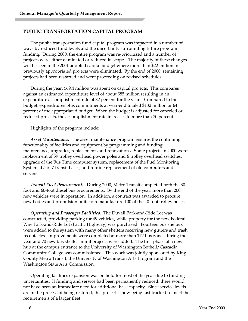#### **PUBLIC TRANSPORTATION CAPITAL PROGRAM**

The public transportation fund capital program was impacted in a number of ways by reduced fund levels and the uncertainty surrounding future program funding. During 2000, the entire program was re-prioritized and a number of projects were either eliminated or reduced in scope. The majority of these changes will be seen in the 2001 adopted capital budget where more than \$22 million in previously appropriated projects were eliminated. By the end of 2000, remaining projects had been restarted and were proceeding on revised schedules.

During the year, \$69.4 million was spent on capital projects. This compares against an estimated expenditure level of about \$85 million resulting in an expenditure accomplishment rate of 82 percent for the year. Compared to the budget, expenditures plus commitments at year-end totaled \$132 million or 64 percent of the appropriated budget. When the budget is adjusted for canceled or reduced projects, the accomplishment rate increases to more than 70 percent.

Highlights of the program include:

*Asset Maintenance.* The asset maintenance program ensures the continuing functionality of facilities and equipment by programming and funding maintenance, upgrades, replacements and renovations. Some projects in 2000 were: replacement of 59 trolley overhead power poles and 6 trolley overhead switches, upgrade of the Bus Time computer system, replacement of the Fuel Monitoring System at 5 of 7 transit bases, and routine replacement of old computers and servers.

*Transit Fleet Procurement.* During 2000, Metro Transit completed both the 30 foot and 60-foot diesel bus procurements. By the end of the year, more than 200 new vehicles were in operation. In addition, a contract was awarded to procure new bodies and propulsion units to remanufacture 100 of the 40-foot trolley buses.

*Operating and Passenger Facilities.* The Duvall Park-and-Ride Lot was constructed, providing parking for 49 vehicles, while property for the new Federal Way Park-and-Ride Lot (Pacific Highway) was purchased. Fourteen bus shelters were added to the system with many other shelters receiving new gutters and trash receptacles. Improvements were completed at more than 172 bus zones during the year and 70 new bus shelter mural projects were added. The first phase of a new hub at the campus entrance to the University of Washington Bothell/Cascadia Community College was commissioned. This work was jointly sponsored by King County Metro Transit, the University of Washington Arts Program and the Washington State Arts Commission.

Operating facilities expansion was on hold for most of the year due to funding uncertainties. If funding and service had been permanently reduced, there would not have been an immediate need for additional base capacity. Since service levels are in the process of being restored, this project is now being fast tracked to meet the requirements of a larger fleet.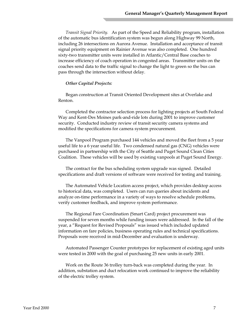*Transit Signal Priority.* As part of the Speed and Reliability program, installation of the automatic bus identification system was begun along Highway 99 North, including 26 intersections on Aurora Avenue. Installation and acceptance of transit signal priority equipment on Rainier Avenue was also completed. One hundred sixty-two transmitter units were installed in Atlantic/Central Base coaches to increase efficiency of coach operation in congested areas. Transmitter units on the coaches send data to the traffic signal to change the light to green so the bus can pass through the intersection without delay.

#### *Other Capital Projects:*

Began construction at Transit Oriented Development sites at Overlake and Renton.

Completed the contractor selection process for lighting projects at South Federal Way and Kent-Des Moines park-and-ride lots during 2001 to improve customer security. Conducted industry review of transit security camera systems and modified the specifications for camera system procurement.

The Vanpool Program purchased 144 vehicles and moved the fleet from a 5 year useful life to a 6 year useful life. Two condensed natural gas (CNG) vehicles were purchased in partnership with the City of Seattle and Puget Sound Clean Cities Coalition. These vehicles will be used by existing vanpools at Puget Sound Energy.

The contract for the bus scheduling system upgrade was signed. Detailed specifications and draft versions of software were received for testing and training.

The Automated Vehicle Location access project, which provides desktop access to historical data, was completed. Users can run queries about incidents and analyze on-time performance in a variety of ways to resolve schedule problems, verify customer feedback, and improve system performance.

The Regional Fare Coordination (Smart Card) project procurement was suspended for seven months while funding issues were addressed. In the fall of the year, a "Request for Revised Proposals" was issued which included updated information on fare policies, business operating rules and technical specifications. Proposals were received in mid-December and evaluation is underway.

Automated Passenger Counter prototypes for replacement of existing aged units were tested in 2000 with the goal of purchasing 25 new units in early 2001.

Work on the Route 36 trolley turn-back was completed during the year. In addition, substation and duct relocation work continued to improve the reliability of the electric trolley system.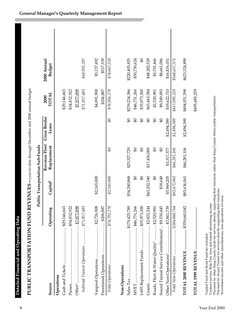| I                                                                                        |  |
|------------------------------------------------------------------------------------------|--|
|                                                                                          |  |
|                                                                                          |  |
| ;<br>;<br>;                                                                              |  |
|                                                                                          |  |
|                                                                                          |  |
|                                                                                          |  |
| ֧֦֧֪֜֜֜֜֜֜֜֜֜֝֜֝֜֝<br>֧֛ׅ֛֝֜֜֜֜֝֜֝֜֜֜֜֝                                                  |  |
|                                                                                          |  |
|                                                                                          |  |
|                                                                                          |  |
|                                                                                          |  |
|                                                                                          |  |
|                                                                                          |  |
|                                                                                          |  |
|                                                                                          |  |
|                                                                                          |  |
| $\mathcal{L}(\mathcal{L})$ and $\mathcal{L}(\mathcal{L})$ and $\mathcal{L}(\mathcal{L})$ |  |
|                                                                                          |  |
| I                                                                                        |  |
|                                                                                          |  |
|                                                                                          |  |
| ׇׇ֚֕֡                                                                                    |  |
| I<br>I                                                                                   |  |
| I<br>I<br>j<br>֠                                                                         |  |
| ׇ֚֘֝֬<br>j                                                                               |  |
|                                                                                          |  |

|                                                              |                      |                      | Public Transportation Sub-Funds |                       |                      |                              |  |
|--------------------------------------------------------------|----------------------|----------------------|---------------------------------|-----------------------|----------------------|------------------------------|--|
| Source                                                       | Operating            | Capital <sup>1</sup> | Revenue Fleet<br>Replacement    | Cross Border<br>Lease | <b>TOTAL</b><br>2000 | 2000 Annual<br><b>Budget</b> |  |
| Operations                                                   |                      |                      |                                 |                       |                      |                              |  |
|                                                              |                      |                      |                                 |                       | \$29,146,663         |                              |  |
|                                                              |                      |                      |                                 |                       | \$34,832,922         |                              |  |
|                                                              |                      |                      |                                 |                       | \$7,877,898          |                              |  |
| Subtotal Transit Operations  \$71,857,483                    |                      |                      |                                 |                       | \$71,857,483         | \$68,992,297                 |  |
|                                                              |                      | \$2,165,000          |                                 |                       | \$4,891,908          | \$5,157,492                  |  |
|                                                              | $\frac{1}{288,887}$  |                      |                                 |                       | \$206,887            | \$517,539                    |  |
|                                                              |                      | \$2,165,000          | $\Im \mathfrak{F}$              | $\mathfrak{G}$        | \$76,956,278         | \$74,667,328                 |  |
|                                                              |                      |                      |                                 |                       |                      |                              |  |
| Non-Operations                                               |                      |                      |                                 |                       |                      |                              |  |
| Sales Tax                                                    | . \$179,425,789      | \$34,280,868         | \$25,527,729                    | $\mathfrak{g}_0$      | \$239,234,386        | \$220,405,835                |  |
|                                                              | $\frac{46}{731,266}$ | \$0                  | 9 <sup>4</sup>                  | $\mathfrak{g}_0$      | \$46,731,266         | \$50,730,624                 |  |
| I-695 Replacement Funds  \$35,973,300                        |                      | \$0                  | \$                              | \$0                   | \$35,973,300         | \$                           |  |
| Grants                                                       | $\cdots$ \$2,825,244 | \$43,202,340         | \$17,436,000                    | $\theta$              | \$63,463,584         | \$48,282,529                 |  |
| Roads, Fleet & Water Quality <sup>3</sup> \$2,520,98         |                      | S)                   | $9\sigma$                       | $9\overline{6}$       | \$2,520,981          | \$3,701,466                  |  |
| Sound Transit Service Contributions <sup>4</sup> \$9,530,445 |                      | \$18,648             | $\boldsymbol{\vartheta}$        | $\theta$              | \$9,549,093          | \$8,661,086                  |  |
|                                                              |                      | \$5,969,205          | \$3,317,377                     | \$2,494,389           | \$19,622,710         | \$16,876,031                 |  |
| Total Non-Operations  \$284,848,764                          |                      | \$83,471,061         | \$46,281,106                    | \$2,494,389           | \$417,095,320        | \$348,657,571                |  |
| TOTAL 2000 REVENUE  \$359,640,042                            |                      | \$85,636,061         | \$46,281,106                    | \$2,494,389           | \$494,051,598        | \$423,324,899                |  |

2Contract service, Ride Free Area and transit advertising income.

<sup>1</sup>Capital Fund and Bond Fund are included.<br><sup>2</sup>Contract service, Ride Free Area and transit advertising income.<br><sup>3</sup>Payment by other King County funds for services directly supporting their functions rather than King County <sup>9</sup>Payment by other King County funds for services directly supporting their functions rather than King County Metro public transportation.<br><sup>4</sup>Payment by Sound Transit for services directly supporting their functions.

**TOTAL 1999 REVENUE ..........................................** \$495,485,259

\$495,485,259

5Investment income and other miscellaneous, non-operations revenue.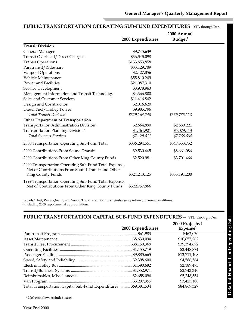|                                                                                                                                 |                   | 2000 Annual         |  |
|---------------------------------------------------------------------------------------------------------------------------------|-------------------|---------------------|--|
|                                                                                                                                 | 2000 Expenditures | Budget <sup>2</sup> |  |
| <b>Transit Division</b>                                                                                                         |                   |                     |  |
| General Manager                                                                                                                 | \$9,745,639       |                     |  |
| Transit Overhead/Direct Charges                                                                                                 | \$36,545,098      |                     |  |
| <b>Transit Operations</b>                                                                                                       | \$133,653,858     |                     |  |
| Paratransit/Rideshare                                                                                                           | \$33,129,709      |                     |  |
| Vanpool Operations                                                                                                              | \$2,427,856       |                     |  |
| Vehicle Maintenance                                                                                                             | \$55,810,249      |                     |  |
| Power and Facilities                                                                                                            | \$21,087,310      |                     |  |
| Service Development                                                                                                             | \$8,978,963       |                     |  |
| Management Information and Transit Technology                                                                                   | \$4,366,800       |                     |  |
| Sales and Customer Services                                                                                                     | \$11,416,842      |                     |  |
| Design and Construction                                                                                                         | \$2,016,620       |                     |  |
| Diesel Fuel/Trolley Power                                                                                                       | \$9,985,796       |                     |  |
| Total Transit Division <sup>1</sup>                                                                                             | \$329,164,740     | \$339,785,118       |  |
| <b>Other Department of Transportation</b>                                                                                       |                   |                     |  |
| Transportation Administration Division <sup>1</sup>                                                                             | \$2,664,890       | \$2,689,221         |  |
| Transportation Planning Division <sup>1</sup>                                                                                   | \$4,464,921       | \$5,079,413         |  |
| <b>Total Support Services</b>                                                                                                   | \$7,129,811       | \$7,768,634         |  |
| 2000 Transportation Operating Sub-Fund Total                                                                                    | \$336,294,551     | \$347,553,752       |  |
| 2000 Contributions From Sound Transit                                                                                           | \$9,530,445       | \$8,661,086         |  |
| 2000 Contributions From Other King County Funds                                                                                 | \$2,520,981       | \$3,701,466         |  |
| 2000 Transportation Operating Sub-Fund Total Expense,<br>Net of Contributions From Sound Transit and Other<br>King County Funds | \$324,243,125     | \$335,191,200       |  |
| 1999 Transportation Operating Sub-Fund Total Expense,<br>Net of Contributions From Other King County Funds                      | \$322,757,866     |                     |  |

## **PUBLIC TRANSPORTATION OPERATING SUB-FUND EXPENDITURES**—YTD through Dec.

1 Roads/Fleet, Water Quality and Sound Transit contributions reimburse a portion of these expenditures. 2 Including 2000 supplemental appropriations.

## **PUBLIC TRANSPORTATION CAPITAL SUB-FUND EXPENDITURES**— YTD through Dec.

|                                                                  |                   | 2000 Projected       |  |
|------------------------------------------------------------------|-------------------|----------------------|--|
|                                                                  | 2000 Expenditures | Expense <sup>1</sup> |  |
|                                                                  |                   | \$462,070            |  |
|                                                                  |                   | \$10,657,262         |  |
|                                                                  |                   | \$39,394,672         |  |
|                                                                  |                   | \$2,448,874          |  |
|                                                                  |                   | \$13,711,408         |  |
|                                                                  |                   | \$4,586,564          |  |
|                                                                  |                   | \$2,189,475          |  |
|                                                                  |                   | \$2,743,340          |  |
|                                                                  |                   | \$5,248,554          |  |
|                                                                  |                   | \$3,425,108          |  |
| Total Transportation Capital Sub-Fund Expenditures  \$69,381,534 |                   | \$84,867,327         |  |

<sup>1</sup> 2000 cash flow, excludes leases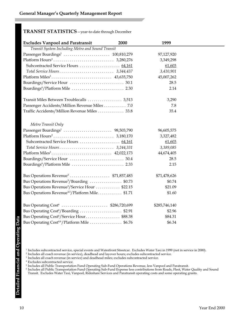## **TRANSIT STATISTICS**—year-to-date through December

| <b>Excludes Vanpool and Paratransit</b>                     | 2000 | 1999          |  |
|-------------------------------------------------------------|------|---------------|--|
| Transit System Including Metro and Sound Transit            |      |               |  |
|                                                             |      | 97,127,920    |  |
|                                                             |      | 3,349,298     |  |
| Subcontracted Service Hours  64,161                         |      | 61,603        |  |
|                                                             |      | 3,410,901     |  |
|                                                             |      | 45,007,262    |  |
|                                                             |      | 28.5          |  |
|                                                             |      | 2.14          |  |
| Transit Miles Between Troublecalls  3,513                   |      | 3,290         |  |
| Passenger Accidents/Million Revenue Miles 7.0               |      | 7.8           |  |
| Traffic Accidents/Million Revenue Miles  33.8               |      | 35.4          |  |
| Metro Transit Only                                          |      |               |  |
|                                                             |      | 96,605,575    |  |
|                                                             |      | 3,327,482     |  |
|                                                             |      | 61,603        |  |
|                                                             |      | 3,389,085     |  |
|                                                             |      | 44,674,405    |  |
|                                                             |      | 28.5          |  |
| Boardings <sup>4</sup> /Platform Mile  2.33                 |      | 2.15          |  |
| Bus Operations Revenue <sup>5</sup> \$71,857,483            |      | \$71,478,626  |  |
| Bus Operations Revenue <sup>5</sup> /Boarding \$0.73        |      | \$0.74        |  |
| Bus Operations Revenue <sup>5</sup> /Service Hour \$22.15   |      | \$21.09       |  |
| Bus Operations Revenue <sup>4,5</sup> /Platform Mile \$1.71 |      | \$1.60        |  |
| Bus Operating Cost <sup>6</sup> \$286,720,699               |      | \$285,746,140 |  |
| Bus Operating Cost <sup>6</sup> /Boarding \$2.91            |      | \$2.96        |  |
| Bus Operating Cost <sup>6</sup> /Service Hour\$88.38        |      | \$84.31       |  |
| Bus Operating Cost <sup>4,6</sup> /Platform Mile  \$6.76    |      | \$6.34        |  |

- <sup>1</sup> Includes subcontracted service, special events and Waterfront Streetcar. Excludes Water Taxi in 1999 (not in service in 2000).
- <sup>2</sup> Includes all coach revenue (in service), deadhead and layover hours; excludes subcontracted service.
- <sup>3</sup> Includes all coach revenue (in service) and deadhead miles; excludes subcontracted service.
- <sup>4</sup> Excludes subcontracted service.
- <sup>5</sup> Includes all Public Transportation Fund Operating Sub-Fund Operations Revenue, less Vanpool and Paratransit.
- <sup>6</sup> Includes all Public Transportation Fund Operating Sub-Fund Expense less contributions from Roads, Fleet, Water Quality and Sound Transit. Excludes Water Taxi, Vanpool, Rideshare Services and Paratransit operating costs and some operating grants.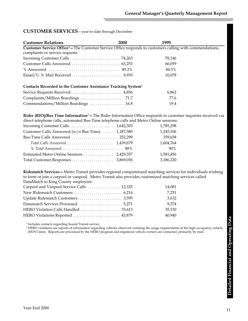#### **CUSTOMER SERVICES**—year-to-date through December

| <b>Customer Relations</b>                                                                                           | <b>2000</b> | 1999   |
|---------------------------------------------------------------------------------------------------------------------|-------------|--------|
| Customer Service Office <sup>1</sup> –The Customer Service Office responds to customers calling with commendations, |             |        |
| complaints or service requests.                                                                                     |             |        |
|                                                                                                                     |             | 78,146 |
|                                                                                                                     |             | 66,059 |
|                                                                                                                     |             | 84.5%  |
|                                                                                                                     |             | 10,078 |
| Contacts Recorded in the Customer Assistance Tracking System <sup>1</sup>                                           |             |        |
|                                                                                                                     |             | 6,862  |
|                                                                                                                     |             | 77.6   |
| Commendations/Million Boardings  16.8                                                                               |             | 19.4   |

**Rider (RIO)/Bus Time Information<sup>1</sup>—The Rider Information Office responds to customer inquiries received via** direct telephone calls, automated Bus-Time telephone calls and Metro Online sessions.

|                                                   | 1,785,298 |
|---------------------------------------------------|-----------|
| Customer Calls Answered (w/o Bus-Time)  1,187,380 | 1,245,106 |
|                                                   | 359,658   |
| Total Calls Answered  1,439,679                   | 1,604,764 |
|                                                   | 90%       |
|                                                   | 1,581,456 |
|                                                   | 3,186,220 |

**Ridematch Services—**Metro Transit provides regional computerized matching services for individuals wishing to form or join a carpool or vanpool. Metro Transit also provides customized matching services called DataMatch to King County employers.

| Carpool and Vanpool Service Calls  12,325 | 14.081 |
|-------------------------------------------|--------|
|                                           | 7.251  |
|                                           | 3.632  |
|                                           | 9.374  |
|                                           | 35.150 |
| HERO Violations Reported  43,879          | 40.940 |

<sup>1</sup> Includes contacts regarding Sound Transit service.

<sup>2</sup> HERO violations are reports of information regarding vehicles observed violating the usage requirements of the high occupancy vehicle (HOV) lanes. Reports are processed by the HERO program and registered vehicle owners are contacted, primarily by mail.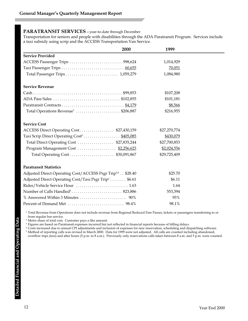### **PARATRANSIT SERVICES**—year-to-date through December

Transportation for seniors and people with disabilities through the ADA Paratransit Program. Services include a taxi subsidy using scrip and the ACCESS Transportation Van Service.

|                                                                        | 2000 | 1999         |
|------------------------------------------------------------------------|------|--------------|
| <b>Service Provided</b>                                                |      |              |
|                                                                        |      | 1,014,929    |
|                                                                        |      | 70,051       |
|                                                                        |      | 1,084,980    |
| <b>Service Revenue</b>                                                 |      |              |
|                                                                        |      | \$107,208    |
|                                                                        |      | \$101,181    |
|                                                                        |      | \$8,566      |
| Total Operations Revenue <sup>1</sup> \$206,887                        |      | \$216,955    |
| <b>Service Cost</b>                                                    |      |              |
| ACCESS Direct Operating Cost\$27,430,159                               |      | \$27,270,774 |
| Taxi Scrip Direct Operating Cost <sup>2</sup> \$405,085                |      | \$430,079    |
| Total Direct Operating Cost  \$27,835,244                              |      | \$27,700,853 |
| Program Management Cost  \$2,256,623                                   |      | \$2,024,556  |
|                                                                        |      | \$29,725,409 |
| <b>Paratransit Statistics</b>                                          |      |              |
| Adjusted Direct Operating Cost/ACCESS Psgr Trip <sup>3,4</sup> \$28.40 |      | \$25.70      |
| Adjusted Direct Operating Cost/Taxi Psgr Trip <sup>3</sup> \$6.61      |      | \$6.11       |
|                                                                        |      | 1.64         |
|                                                                        |      | 553,394      |
|                                                                        |      | 93%          |
|                                                                        |      | 98.1%        |

<sup>1</sup> Total Revenue from Operations does not include revenue from Regional Reduced Fare Passes, tickets or passengers transferring to or from regular bus service.

<sup>2</sup> Metro share of total cost. Customer pays a like amount.

<sup>3</sup> Figures are based on Paratransit expenses incurred but not reflected in financial reports because of billing delays.

<sup>4</sup> Costs increased due to annual CPI adjustments and inclusion of expenses for new reservation, scheduling and dispatching software.

<sup>5</sup> Method of reporting calls was revised in March 2000. Data for 1999 were not adjusted. All calls are counted including abandoned,

overflow trips (taxi) and after hours (5 p.m. to 8 a.m.). Previously only reservations calls taken between 8 a.m. and 5 p.m. were counted.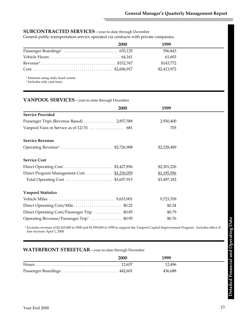## **SUBCONTRACTED SERVICES**—year-to-date through December

General public transportation service operated via contracts with private companies.

| <b>2000</b> | 1999        |
|-------------|-------------|
|             | 596.843     |
|             | 61.603      |
|             | \$143,772   |
|             | \$2,413,972 |

<sup>1</sup> Estimate using daily head counts.

<sup>2</sup> Includes only cash fares.

#### **VANPOOL SERVICES**—year-to-date through December

|                                                      | 2000 | 1999        |
|------------------------------------------------------|------|-------------|
| <b>Service Provided</b>                              |      |             |
| Passenger Trips (Revenue Based)  2,857,588           |      | 2,930,400   |
|                                                      |      | 705         |
| <b>Service Revenue</b>                               |      |             |
| Operating Revenue <sup>1</sup> \$2,726,908           |      | \$2,228,489 |
| <b>Service Cost</b>                                  |      |             |
|                                                      |      | \$2,301,226 |
| Direct Program Management Cost  \$1,230,059          |      | \$1,195,956 |
|                                                      |      | \$3,497,182 |
| <b>Vanpool Statistics</b>                            |      |             |
|                                                      |      | 9,723,709   |
| Direct Operating Cost/Mile\$0.25                     |      | \$0.24      |
| Direct Operating Cost/Passenger Trip \$0.85          |      | \$0.79      |
| Operating Revenue/Passenger Trip <sup>1</sup> \$0.95 |      | \$0.76      |

<sup>1</sup> Excludes revenue of \$2,165,000 in 2000 and \$1,959,049 in 1999 to support the Vanpool Capital Improvement Program. Includes effect of fare increase April 1, 2000.

### **WATERFRONT STREETCAR**—year-to-date through December

|                              | 2000 | 1999    |  |
|------------------------------|------|---------|--|
|                              |      | 12.496  |  |
| Passenger Boardings  442,601 |      | 436.688 |  |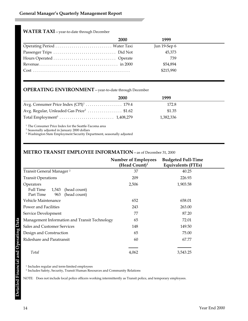## **WATER TAXI**—year-to-date through December

|                              | <b>2000</b> | 1999         |  |
|------------------------------|-------------|--------------|--|
| Operating Period  Water Taxi |             | Jun 19-Sep 6 |  |
|                              |             | 45.373       |  |
|                              |             | 739          |  |
|                              |             | \$54,894     |  |
|                              |             | \$215,990    |  |
|                              |             |              |  |

## **OPERATING ENVIRONMENT**—year-to-date through December

|                                                      | <b>2000</b> | 1999      |  |
|------------------------------------------------------|-------------|-----------|--|
|                                                      |             | 172.8     |  |
| Avg. Regular, Unleaded Gas Price <sup>2</sup> \$1.62 |             | \$1.35    |  |
|                                                      |             | 1.382.336 |  |
|                                                      |             |           |  |

<sup>1</sup> The Consumer Price Index for the Seattle-Tacoma area

<sup>2</sup> Seasonally adjusted in January 2000 dollars

<sup>3</sup> Washington State Employment Security Department, seasonally adjusted

## **METRO TRANSIT EMPLOYEE INFORMATION**—as of December 31, 2000

|                                                                                     | <b>Number of Employees</b><br>(Head Count) <sup>1</sup> | <b>Budgeted Full-Time</b><br><b>Equivalents (FTEs)</b> |
|-------------------------------------------------------------------------------------|---------------------------------------------------------|--------------------------------------------------------|
| Transit General Manager <sup>2</sup>                                                | 37                                                      | 40.25                                                  |
| <b>Transit Operations</b>                                                           | 209                                                     | 226.93                                                 |
| Operators<br>Full Time<br>1,543<br>(head count)<br>(head count)<br>Part Time<br>963 | 2,506                                                   | 1,903.58                                               |
| Vehicle Maintenance                                                                 | 652                                                     | 658.01                                                 |
| Power and Facilities                                                                | 243                                                     | 263.00                                                 |
| Service Development                                                                 | 77                                                      | 87.20                                                  |
| Management Information and Transit Technology                                       | 65                                                      | 72.01                                                  |
| <b>Sales and Customer Services</b>                                                  | 148                                                     | 149.50                                                 |
| Design and Construction                                                             | 65                                                      | 75.00                                                  |
| Rideshare and Paratransit                                                           | 60                                                      | 67.77                                                  |
| Total                                                                               | 4,062                                                   | 3,543.25                                               |

 $^{\rm 1}$  Includes regular and term-limited employees

<sup>2</sup> Includes Safety, Security, Transit Human Resources and Community Relations

NOTE: Does not include local police officers working intermittently as Transit police, and temporary employees.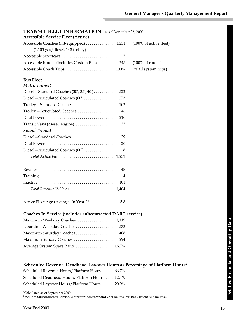| <b>TRANSIT FLEET INFORMATION</b> – as of December 26, 2000                              |                             |
|-----------------------------------------------------------------------------------------|-----------------------------|
| <b>Accessible Service Fleet (Active)</b>                                                |                             |
| Accessible Coaches (lift-equipped)  1,251                                               | (100% of active fleet)      |
| $(1,103$ gas/diesel, 148 trolley)                                                       |                             |
|                                                                                         |                             |
| Accessible Routes (includes Custom Bus)  245                                            | $(100\% \text{ of routes})$ |
|                                                                                         | (of all system trips)       |
| <b>Bus Fleet</b>                                                                        |                             |
| <b>Metro Transit</b>                                                                    |                             |
|                                                                                         |                             |
| Diesel - Articulated Coaches (60') 273                                                  |                             |
|                                                                                         |                             |
| Trolley - Articulated Coaches  46                                                       |                             |
|                                                                                         |                             |
| Transit Vans (diesel engine)  35                                                        |                             |
| <b>Sound Transit</b>                                                                    |                             |
|                                                                                         |                             |
|                                                                                         |                             |
| Diesel -- Articulated Coaches (60') $\ldots \ldots \ldots \ldots \ldots$                |                             |
| Total Active Fleet $\ldots \ldots \ldots \ldots \ldots \ldots \ldots \ldots$ 1,251      |                             |
|                                                                                         |                             |
|                                                                                         |                             |
|                                                                                         |                             |
| Total Revenue Vehicles  1,404                                                           |                             |
| Active Fleet Age (Average In Years) <sup>1</sup> . 5.8                                  |                             |
| Coaches In Service (includes subcontracted DART service)                                |                             |
| Maximum Weekday Coaches  1,119                                                          |                             |
| Noontime Weekday Coaches 533                                                            |                             |
| Maximum Saturday Coaches 408                                                            |                             |
| Maximum Sunday Coaches  294                                                             |                             |
| Average System Spare Ratio  16.7%                                                       |                             |
| Scheduled Revenue, Deadhead, Layover Hours as Percentage of Platform Hours <sup>2</sup> |                             |
| Scheduled Revenue Hours/Platform Hours 66.7%                                            |                             |
| Scheduled Deadhead Hours/Platform Hours  12.4%                                          |                             |

Scheduled Layover Hours/Platform Hours . . . . . . 20.9%

1 Calculated as of September 2000. 2 Includes Subcontracted Service, Waterfront Streetcar and Owl Routes (but not Custom Bus Routes).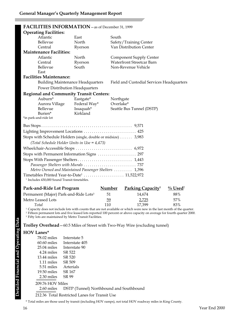| FACILITIES INFORMATION - as of December 31, 1999                                                                                                                                                                                                                                                                                   |              |                                                                          |  |  |
|------------------------------------------------------------------------------------------------------------------------------------------------------------------------------------------------------------------------------------------------------------------------------------------------------------------------------------|--------------|--------------------------------------------------------------------------|--|--|
| <b>Operating Facilities:</b>                                                                                                                                                                                                                                                                                                       |              |                                                                          |  |  |
| Atlantic                                                                                                                                                                                                                                                                                                                           | East         | South                                                                    |  |  |
| Bellevue                                                                                                                                                                                                                                                                                                                           | North        | Safety/Training Center                                                   |  |  |
| Central                                                                                                                                                                                                                                                                                                                            | Ryerson      | Van Distribution Center                                                  |  |  |
| <b>Maintenance Facilities:</b>                                                                                                                                                                                                                                                                                                     |              |                                                                          |  |  |
| Atlantic                                                                                                                                                                                                                                                                                                                           | North        | <b>Component Supply Center</b>                                           |  |  |
| Central                                                                                                                                                                                                                                                                                                                            | Ryerson      | <b>Waterfront Streetcar Barn</b>                                         |  |  |
| Bellevue                                                                                                                                                                                                                                                                                                                           | South        | Non-Revenue Vehicle                                                      |  |  |
| East                                                                                                                                                                                                                                                                                                                               |              |                                                                          |  |  |
| <b>Facilities Maintenance:</b>                                                                                                                                                                                                                                                                                                     |              |                                                                          |  |  |
| <b>Building Maintenance Headquarters</b>                                                                                                                                                                                                                                                                                           |              | Field and Custodial Services Headquarters                                |  |  |
| <b>Power Distribution Headquarters</b>                                                                                                                                                                                                                                                                                             |              |                                                                          |  |  |
| <b>Regional and Community Transit Centers:</b>                                                                                                                                                                                                                                                                                     |              |                                                                          |  |  |
| Auburn*                                                                                                                                                                                                                                                                                                                            | Eastgate*    | Northgate                                                                |  |  |
| Aurora Village                                                                                                                                                                                                                                                                                                                     | Federal Way* | Overlake*                                                                |  |  |
| Bellevue                                                                                                                                                                                                                                                                                                                           | Issaquah*    | Seattle Bus Tunnel (DSTP)                                                |  |  |
| Burien*                                                                                                                                                                                                                                                                                                                            | Kirkland     |                                                                          |  |  |
| *in park-and-ride lot                                                                                                                                                                                                                                                                                                              |              |                                                                          |  |  |
|                                                                                                                                                                                                                                                                                                                                    |              |                                                                          |  |  |
| Lighting Improvement Locations  425                                                                                                                                                                                                                                                                                                |              |                                                                          |  |  |
| Stops with Schedule Holders (single, double or midsize) 3,983                                                                                                                                                                                                                                                                      |              |                                                                          |  |  |
| (Total Schedule Holder Units in Use = 4,473)                                                                                                                                                                                                                                                                                       |              |                                                                          |  |  |
|                                                                                                                                                                                                                                                                                                                                    |              |                                                                          |  |  |
|                                                                                                                                                                                                                                                                                                                                    |              |                                                                          |  |  |
| Stops with Permanent Information Signs  297                                                                                                                                                                                                                                                                                        |              |                                                                          |  |  |
|                                                                                                                                                                                                                                                                                                                                    |              |                                                                          |  |  |
|                                                                                                                                                                                                                                                                                                                                    |              |                                                                          |  |  |
| Metro Owned and Maintained Passenger Shelters  1,396                                                                                                                                                                                                                                                                               |              |                                                                          |  |  |
| <sup>1</sup> Includes 430,000 Sound Transit timetables.                                                                                                                                                                                                                                                                            |              |                                                                          |  |  |
| Park-and-Ride Lot Program                                                                                                                                                                                                                                                                                                          |              | <b>Number</b><br>Parking Capacity <sup>1</sup><br>$\%$ Used <sup>2</sup> |  |  |
| $\mathbf{A}$ $\mathbf{A}$ $\mathbf{A}$ $\mathbf{B}$ $\mathbf{A}$ $\mathbf{B}$ $\mathbf{A}$ $\mathbf{B}$ $\mathbf{A}$ $\mathbf{B}$ $\mathbf{A}$ $\mathbf{B}$ $\mathbf{A}$ $\mathbf{B}$ $\mathbf{A}$ $\mathbf{B}$ $\mathbf{A}$ $\mathbf{B}$ $\mathbf{A}$ $\mathbf{B}$ $\mathbf{A}$ $\mathbf{B}$ $\mathbf{A}$ $\mathbf{B}$ $\mathbf{$ |              | 0.001<br>$-4$<br>$\sim$ $\sim$ $\sim$ $\sim$ $\sim$ $\sim$               |  |  |

| 11 AMILY CL | <u>Lainnig Capacity</u> | $\sigma$ $\sigma$ |
|-------------|-------------------------|-------------------|
| 51          | 14.674                  | 88%               |
| 59          | 2,725                   | 57%               |
| 110         | 17.399                  | 83%               |
|             |                         |                   |

<sup>1</sup> Capacity does not include lots with counts that are not available or which were new in the last month of the quarter.

<sup>2</sup> Fifteen permanent lots and five leased lots reported 100 percent or above capacity on average for fourth quarter 2000. <sup>3</sup> Fifty lots are maintained by Metro Transit Facilities.

**Trolley Overhead**—60.5 Miles of Street with Two-Way Wire (excluding tunnel)

#### **HOV Lanes\***

| 78.02 miles      | Interstate 5                                  |
|------------------|-----------------------------------------------|
| $60.60$ miles    | Interstate 405                                |
| $25.04$ miles    | Interstate 90                                 |
| 4.24 miles       | SR 522                                        |
| $13.44$ miles    | SR 520                                        |
| 1.11 miles       | SR 509                                        |
| 5.51 miles       | Arterials                                     |
| $19.50$ miles    | SR 167                                        |
| 2.30 miles       | SR 99                                         |
| 209.76 HOV Miles |                                               |
| 2.60 miles       | DSTP (Tunnel) Northbound and Southbound       |
|                  | 212.36 Total Restricted Lanes for Transit Use |

\* Total miles are those used by transit (including HOV ramps), not total HOV roadway miles in King County.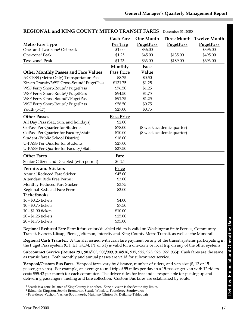|                                                       | <b>Cash Fare</b>  | <b>One Month</b>          |                           | Three Month Twelve Month |
|-------------------------------------------------------|-------------------|---------------------------|---------------------------|--------------------------|
| <b>Metro Fare Type</b>                                | Per Trip          | <b>PugetPass</b>          | <b>PugetPass</b>          | <b>PugetPass</b>         |
| One- and Two-zone <sup>1</sup> Off-peak               | \$1.00            | \$36.00                   |                           | \$396.00                 |
| One-zone <sup>1</sup> Peak                            | \$1.25            | \$45.00                   | \$135.00                  | \$495.00                 |
| Two-zone <sup>1</sup> Peak                            | \$1.75            | \$63.00                   | \$189.00                  | \$693.00                 |
|                                                       | Monthly           | Face                      |                           |                          |
| <b>Other Monthly Passes and Face Values</b>           | <b>Pass Price</b> | <b>Value</b>              |                           |                          |
| <b>ACCESS</b> (Metro Only) Transportation Pass        | \$8.75            | \$0.50                    |                           |                          |
| Kitsap Transit/WSF Cross-Sound <sup>2</sup> PugetPass | \$131.75          | \$1.25                    |                           |                          |
| WSF Ferry Short-Route <sup>3</sup> /PugetPass         | \$76.50           | \$1.25                    |                           |                          |
| WSF Ferry Short-Route <sup>3</sup> /PugetPass         | \$94.50           | \$1.75                    |                           |                          |
| WSF Ferry Cross-Sound <sup>2</sup> /PugetPass         | \$91.75           | \$1.25                    |                           |                          |
| WSF Ferry Short-Route <sup>3</sup> /PugetPass         | \$58.50           | \$0.75                    |                           |                          |
| Youth (5-17)                                          | \$27.00           | \$0.75                    |                           |                          |
| <b>Other Passes</b>                                   | <b>Pass Price</b> |                           |                           |                          |
| All Day Pass (Sat., Sun. and holidays)                | \$2.00            |                           |                           |                          |
| GoPass Per Quarter for Students                       | \$78.00           |                           | (8 week academic quarter) |                          |
| GoPass Per Quarter for Faculty/Staff                  | \$10.00           | (8 week academic quarter) |                           |                          |
| Student (Public School District)                      | \$18.00           |                           |                           |                          |
| <b>U-PASS Per Quarter for Students</b>                | \$27.00           |                           |                           |                          |
| U-PASS Per Quarter for Faculty/Staff                  | \$37.50           |                           |                           |                          |
| <b>Other Fares</b>                                    | <b>Fare</b>       |                           |                           |                          |
| Senior Citizen and Disabled (with permit)             | \$0.25            |                           |                           |                          |
| <b>Permits and Stickers</b>                           | Price             |                           |                           |                          |
| <b>Annual Reduced Fare Sticker</b>                    | \$45.00           |                           |                           |                          |
| <b>Attendant Ride Free Permit</b>                     | \$3.00            |                           |                           |                          |
| Monthly Reduced Fare Sticker                          | \$3.75            |                           |                           |                          |
| Regional Reduced Fare Permit                          | \$3.00            |                           |                           |                          |
| Ticketbooks                                           |                   |                           |                           |                          |
| 16 - \$0.25 tickets                                   | \$4.00            |                           |                           |                          |
| 10 - \$0.75 tickets                                   | \$7.50            |                           |                           |                          |
| 10 - \$1.00 tickets                                   | \$10.00           |                           |                           |                          |
| 20 - \$1.25 tickets                                   | \$25.00           |                           |                           |                          |
| 20 - \$1.75 tickets                                   | \$35.00           |                           |                           |                          |

## **REGIONAL and KING COUNTY METRO TRANSIT FARES**—December 31, 2000

**Regional Reduced Fare Permit** for senior/disabled riders is valid on Washington State Ferries, Community Transit, Everett, Kitsap, Pierce, Jefferson, Intercity and King County Metro Transit, as well as the Monorail.

**Regional Cash Transfer:** A transfer issued with cash fare payment on any of the transit systems participating in the Puget Pass system (CT, ET, KCM, PT or ST) is valid for a one-zone or local trip on any of the other systems.

**Subcontract Service (Routes 291, 901/903, 908/909, 914/916, 917, 922, 923, 925, 927, 935)**: Cash fares are the same as transit fares. Both monthly and annual passes are valid for subcontract service.

**Vanpool/Custom Bus Fares**: Vanpool fares vary by distance, number of riders, and van size (8, 12 or 15 passenger vans). For example, an average round trip of 55 miles per day in a 15-passenger van with 12 riders costs \$55.42 per month for each commuter. The driver rides for free and is responsible for picking up and delivering passengers, fueling and fare collection. Custom Bus fares are established by route.

<sup>&</sup>lt;sup>1</sup> Seattle is a zone; balance of King County is another. Zone division is the Seattle city limits.

<sup>1</sup> Edmonds-Kingston, Seattle-Bremerton, Seattle-Winslow, Fauntleroy-Southworth

<sup>2</sup> Fauntleroy-Vashon, Vashon-Southworth, Mukilteo-Clinton, Pt. Defiance-Tahlequah